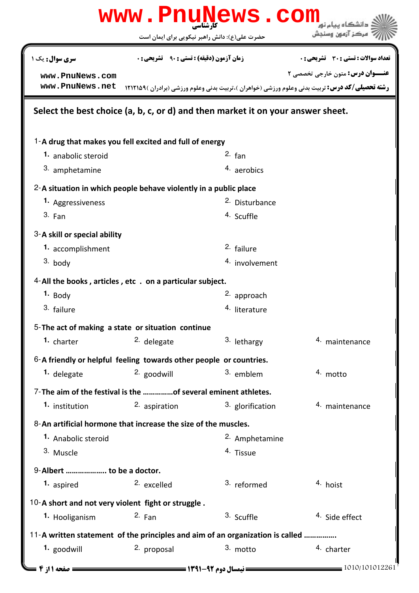|                                                                                 |                                                  | www.PnuNews.com                          |                                                                                                       |  |  |
|---------------------------------------------------------------------------------|--------------------------------------------------|------------------------------------------|-------------------------------------------------------------------------------------------------------|--|--|
|                                                                                 | حضرت علی(ع): دانش راهبر نیکویی برای ایمان است    |                                          | مركز آزمون وسنجش                                                                                      |  |  |
| <b>سری سوال :</b> یک ۱                                                          | <b>زمان آزمون (دقیقه) : تستی : ۹۰٪ تشریحی: 0</b> |                                          | <b>تعداد سوالات : تستي : 30 ٪ تشريحي : 0</b>                                                          |  |  |
| www.PnuNews.com                                                                 |                                                  |                                          | <b>عنـــوان درس:</b> متون خارجي تخصصي ٢                                                               |  |  |
| www.PnuNews.net                                                                 |                                                  |                                          | <b>رشته تحصیلی/کد درس:</b> تربیت بدنی وعلوم ورزشی (خواهران )،تربیت بدنی وعلوم ورزشی (برادران )۱۲۱۲۱۵۹ |  |  |
| Select the best choice (a, b, c, or d) and then market it on your answer sheet. |                                                  |                                          |                                                                                                       |  |  |
| 1-A drug that makes you fell excited and full of energy                         |                                                  |                                          |                                                                                                       |  |  |
| 1. anabolic steroid                                                             |                                                  | $2.$ fan                                 |                                                                                                       |  |  |
| 3. amphetamine                                                                  |                                                  | 4. aerobics                              |                                                                                                       |  |  |
| 2-A situation in which people behave violently in a public place                |                                                  |                                          |                                                                                                       |  |  |
| 1. Aggressiveness                                                               |                                                  | <sup>2.</sup> Disturbance                |                                                                                                       |  |  |
| 3. Fan                                                                          |                                                  | 4. Scuffle                               |                                                                                                       |  |  |
| 3-A skill or special ability                                                    |                                                  |                                          |                                                                                                       |  |  |
| 1. accomplishment                                                               |                                                  | 2. failure                               |                                                                                                       |  |  |
| 3. body                                                                         |                                                  | 4. involvement                           |                                                                                                       |  |  |
| 4-All the books, articles, etc. on a particular subject.                        |                                                  |                                          |                                                                                                       |  |  |
| $1.$ Body                                                                       |                                                  | 2. approach                              |                                                                                                       |  |  |
| 3. failure                                                                      |                                                  | 4. literature                            |                                                                                                       |  |  |
| 5-The act of making a state or situation continue                               |                                                  |                                          |                                                                                                       |  |  |
| 1. charter                                                                      | <sup>2.</sup> delegate                           | 3. lethargy                              | 4. maintenance                                                                                        |  |  |
| 6-A friendly or helpful feeling towards other people or countries.              |                                                  |                                          |                                                                                                       |  |  |
| <sup>1.</sup> delegate                                                          | 2. goodwill                                      | 3. emblem                                | 4. motto                                                                                              |  |  |
| 7- The aim of the festival is the of several eminent athletes.                  |                                                  |                                          |                                                                                                       |  |  |
| 1. institution                                                                  | 2. aspiration                                    | 3. glorification                         | 4. maintenance                                                                                        |  |  |
| 8-An artificial hormone that increase the size of the muscles.                  |                                                  |                                          |                                                                                                       |  |  |
| 1. Anabolic steroid                                                             |                                                  | 2. Amphetamine                           |                                                                                                       |  |  |
| 3. Muscle                                                                       |                                                  | 4. Tissue                                |                                                                                                       |  |  |
| 9-Albert  to be a doctor.                                                       |                                                  |                                          |                                                                                                       |  |  |
| 1. aspired                                                                      | 2. excelled                                      | 3. reformed                              | 4. hoist                                                                                              |  |  |
| 10-A short and not very violent fight or struggle.                              |                                                  |                                          |                                                                                                       |  |  |
| 1. Hooliganism                                                                  | 2. Fan                                           | 3. Scuffle                               | 4. Side effect                                                                                        |  |  |
| 11-A written statement of the principles and aim of an organization is called   |                                                  |                                          |                                                                                                       |  |  |
| 1. goodwill                                                                     | 2. proposal                                      | 3. motto                                 | 4. charter                                                                                            |  |  |
|                                                                                 |                                                  |                                          |                                                                                                       |  |  |
| صفحه 11: 4                                                                      |                                                  | <b>ـــــ نیمسال دوم ۶۲-۱۳۹۱ ــــــــ</b> | = 1010/101012261                                                                                      |  |  |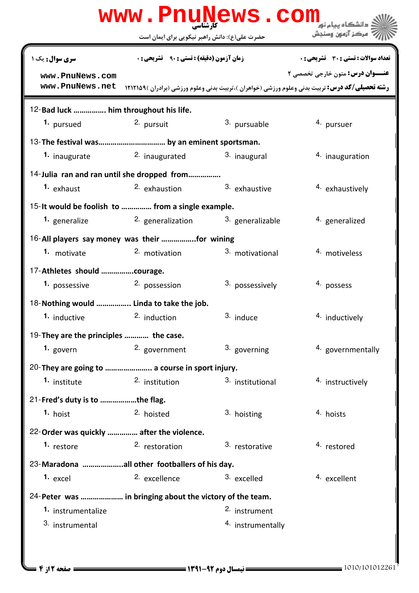| www.PnuNews.com                                          |                                                   |                          |                                                                                                                                                  |  |  |  |
|----------------------------------------------------------|---------------------------------------------------|--------------------------|--------------------------------------------------------------------------------------------------------------------------------------------------|--|--|--|
|                                                          | حضرت علی(ع): دانش راهبر نیکویی برای ایمان است     |                          | ' مرڪز آزمون وسنڊش                                                                                                                               |  |  |  |
| سری سوال: یک ۱                                           | <b>زمان آزمون (دقیقه) : تستی : ۹۰٪ تشریحی : 0</b> |                          | تعداد سوالات : تستي : 30 ٪ تشريحي : 0                                                                                                            |  |  |  |
| www.PnuNews.com<br>www.PnuNews.net                       |                                                   |                          | <b>عنـــوان درس:</b> متون خارجي تخصصي ٢<br><b>رشته تحصیلی/کد درس:</b> تربیت بدنی وعلوم ورزشی (خواهران )،تربیت بدنی وعلوم ورزشی (برادران )۱۲۱۲۱۵۹ |  |  |  |
| 12-Bad luck  him throughout his life.                    |                                                   |                          |                                                                                                                                                  |  |  |  |
| 1. pursued                                               | 2. pursuit                                        | <sup>3.</sup> pursuable  | 4. pursuer                                                                                                                                       |  |  |  |
|                                                          |                                                   |                          |                                                                                                                                                  |  |  |  |
| 1. inaugurate                                            | <sup>2</sup> inaugurated                          | 3. inaugural             | 4. inauguration                                                                                                                                  |  |  |  |
| 14-Julia ran and ran until she dropped from              |                                                   |                          |                                                                                                                                                  |  |  |  |
| 1. exhaust                                               | <sup>2</sup> exhaustion                           | 3. exhaustive            | 4. exhaustively                                                                                                                                  |  |  |  |
| 15- It would be foolish to  from a single example.       |                                                   |                          |                                                                                                                                                  |  |  |  |
| 1. generalize                                            | 2. generalization                                 | 3. generalizable         | 4. generalized                                                                                                                                   |  |  |  |
| 16-All players say money was their for wining            |                                                   |                          |                                                                                                                                                  |  |  |  |
| 1. motivate                                              | 2. motivation                                     | 3. motivational          | 4. motiveless                                                                                                                                    |  |  |  |
| 17-Athletes should courage.                              |                                                   |                          |                                                                                                                                                  |  |  |  |
| 1. possessive                                            | 2. possession                                     | 3. possessively          | 4. possess                                                                                                                                       |  |  |  |
| 18-Nothing would  Linda to take the job.                 |                                                   |                          |                                                                                                                                                  |  |  |  |
| 1. inductive                                             | 2. induction                                      | 3. induce                | 4. inductively                                                                                                                                   |  |  |  |
| 19-They are the principles  the case.                    |                                                   |                          |                                                                                                                                                  |  |  |  |
| 1. govern                                                | 2. government                                     | 3. governing             | 4. governmentally                                                                                                                                |  |  |  |
| 20-They are going to  a course in sport injury.          |                                                   |                          |                                                                                                                                                  |  |  |  |
| 1. institute                                             | 2. institution                                    | 3. institutional         | 4. instructively                                                                                                                                 |  |  |  |
| 21-Fred's duty is to the flag.                           |                                                   |                          |                                                                                                                                                  |  |  |  |
| 1. hoist                                                 | 2. hoisted                                        | 3. hoisting              | 4. hoists                                                                                                                                        |  |  |  |
| 22-Order was quickly  after the violence.                |                                                   |                          |                                                                                                                                                  |  |  |  |
| 1. restore                                               | 2. restoration                                    | 3. restorative           | 4. restored                                                                                                                                      |  |  |  |
| 23-Maradona all other footballers of his day.            |                                                   |                          |                                                                                                                                                  |  |  |  |
| 1. excel                                                 | 2. excellence                                     | 3. excelled              | 4. excellent                                                                                                                                     |  |  |  |
| 24-Peter was  in bringing about the victory of the team. |                                                   |                          |                                                                                                                                                  |  |  |  |
| 1. instrumentalize                                       |                                                   | <sup>2.</sup> instrument |                                                                                                                                                  |  |  |  |
| 3. instrumental                                          |                                                   | 4. instrumentally        |                                                                                                                                                  |  |  |  |
|                                                          |                                                   |                          |                                                                                                                                                  |  |  |  |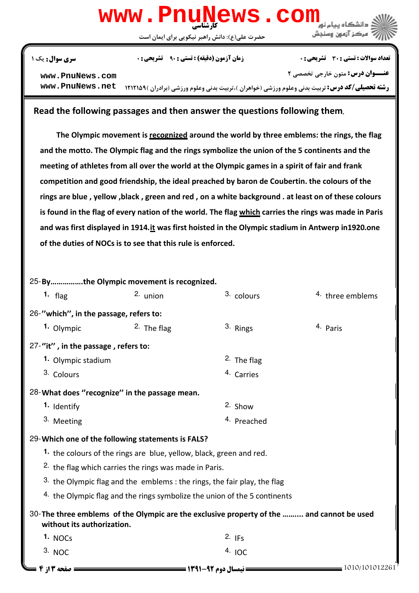## كارشناسي **[www.PnuNews.com](http://pnunews.com)**

حضرت علي(ع): دانش راهبر نيكويي براي ايمان است



## تعداد سوالات : تستي تشريحي زمان آزمون (دقيقه) : تستي تشريحي سري سوال ' ( \*: +\*: \* )\*: : :

**[www.PnuNews.com](http://pnunews.com)**

**عنـــوان درس:** متون خارجي تخصصي ٢

ر**شته تحصیلی/کد درس:** تربیت بدنی وعلوم ورزشی (خواهران )،تربیت بدنی وعلوم ورزشی (برادران )۱۲۱۲۱۵۹ Mww **. PnuNews . net** 

## Read the following passages and then answer the questions following them**.**

The Olympic movement is recognized around the world by three emblems: the rings, the flag and the motto. The Olympic flag and the rings symbolize the union of the 5 continents and the meeting of athletes from all over the world at the Olympic games in a spirit of fair and frank competition and good friendship, the ideal preached by baron de Coubertin. the colours of the rings are blue , yellow ,black , green and red , on a white background . at least on of these colours is found in the flag of every nation of the world. The flag which carries the rings was made in Paris and was first displayed in 1914.it was first hoisted in the Olympic stadium in Antwerp in1920.one of the duties of NOCs is to see that this rule is enforced.

25-By ................the Olympic movement is recognized. flag union colours three emblems 3. colours 26-"which", in the passage, refers to: **1.** Olympic **2.** The flag **1.** 2. The flag **1.** 2. All Paris 27-"it", in the passage, refers to: **1.** Olympic stadium **The flag is a state of the flag in the flag is a state of the flag in the flag is a state of the flag in the flag** 4. Carries 3. Colours 28-What does "recognize" in the passage mean. 1. Identify 2. Show 4. Preached 3. Meeting Which one of the following statements is FALS? 29- 1. the colours of the rings are blue, yellow, black, green and red.  $2.$  the flag which carries the rings was made in Paris. 3. the Olympic flag and the emblems : the rings, the fair play, the flag  $4.$  the Olympic flag and the rings symbolize the union of the 5 continents 30-The three emblems of the Olympic are the exclusive property of the .......... and cannot be used without its authorization. NOCs  $^{2.}$  IFs  $4.10C$ **1.** NOCs  $\qquad \qquad$  2. IFs 3. NOC 1010/101012261 1391-92 نيمسال دوم 3 از 4 صفحه